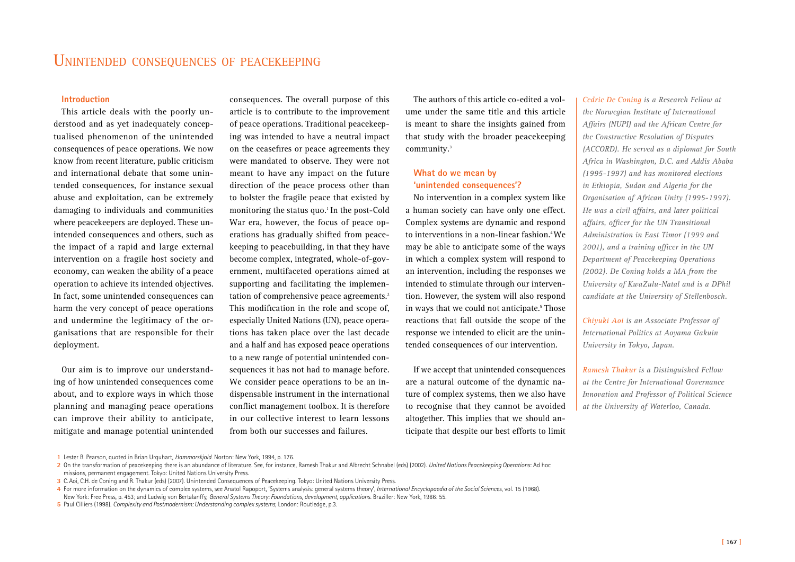# **Introduction**

This article deals with the poorly understood and as yet inadequately conceptualised phenomenon of the unintended consequences of peace operations. We now know from recent literature, public criticism and international debate that some unintended consequences, for instance sexual abuse and exploitation, can be extremely damaging to individuals and communities where peacekeepers are deployed. These unintended consequences and others, such as the impact of a rapid and large external intervention on a fragile host society and economy, can weaken the ability of a peace operation to achieve its intended objectives. In fact, some unintended consequences can harm the very concept of peace operations and undermine the legitimacy of the organisations that are responsible for their deployment.

Our aim is to improve our understanding of how unintended consequences come about, and to explore ways in which those planning and managing peace operations can improve their ability to anticipate, mitigate and manage potential unintended consequences. The overall purpose of this article is to contribute to the improvement of peace operations. Traditional peacekeeping was intended to have a neutral impact on the ceasefires or peace agreements they were mandated to observe. They were not meant to have any impact on the future direction of the peace process other than to bolster the fragile peace that existed by monitoring the status quo.<sup>1</sup> In the post-Cold War era, however, the focus of peace operations has gradually shifted from peacekeeping to peacebuilding, in that they have become complex, integrated, whole-of-government, multifaceted operations aimed at supporting and facilitating the implementation of comprehensive peace agreements.<sup>2</sup> This modification in the role and scope of, especially United Nations (UN), peace operations has taken place over the last decade and a half and has exposed peace operations to a new range of potential unintended consequences it has not had to manage before. We consider peace operations to be an indispensable instrument in the international conflict management toolbox. It is therefore in our collective interest to learn lessons from both our successes and failures.

The authors of this article co-edited a volume under the same title and this article is meant to share the insights gained from that study with the broader peacekeeping community.3

# **What do we mean by 'unintended consequences'?**

No intervention in a complex system like a human society can have only one effect. Complex systems are dynamic and respond to interventions in a non-linear fashion.<sup>4</sup> We may be able to anticipate some of the ways in which a complex system will respond to an intervention, including the responses we intended to stimulate through our intervention. However, the system will also respond in ways that we could not anticipate.<sup>5</sup> Those reactions that fall outside the scope of the response we intended to elicit are the unintended consequences of our intervention.

If we accept that unintended consequences are a natural outcome of the dynamic nature of complex systems, then we also have to recognise that they cannot be avoided altogether. This implies that we should anticipate that despite our best efforts to limit

*Cedric De Coning is a Research Fellow at the Norwegian Institute of International Affairs (NUPI) and the African Centre for the Constructive Resolution of Disputes (ACCORD). He served as a diplomat for South Africa in Washington, D.C. and Addis Ababa (1995-1997) and has monitored elections in Ethiopia, Sudan and Algeria for the Organisation of African Unity (1995-1997). He was a civil affairs, and later political affairs, officer for the UN Transitional Administration in East Timor (1999 and 2001), and a training officer in the UN Department of Peacekeeping Operations (2002). De Coning holds a MA from the University of KwaZulu-Natal and is a DPhil candidate at the University of Stellenbosch.*

*Chiyuki Aoi is an Associate Professor of International Politics at Aoyama Gakuin University in Tokyo, Japan.*

*Ramesh Thakur is a Distinguished Fellow at the Centre for International Governance Innovation and Professor of Political Science at the University of Waterloo, Canada.*

**<sup>1</sup>** Lester B. Pearson, quoted in Brian Urquhart, *Hammarskjold*. Norton: New York, 1994, p. 176.

**<sup>2</sup>** On the transformation of peacekeeping there is an abundance of literature. See, for instance, Ramesh Thakur and Albrecht Schnabel (eds) (2002). *United Nations Peacekeeping Operations*: Ad hoc missions, permanent engagement. Tokyo: United Nations University Press.

**<sup>3</sup>** C.Aoi, C.H. de Coning and R. Thakur (eds) (2007). Unintended Consequences of Peacekeeping. Tokyo: United Nations University Press.

**<sup>4</sup>** For more information on the dynamics of complex systems, see Anatol Rapoport, 'Systems analysis: general systems theory', *International Encyclopaedia of the Social Sciences*, vol. 15 (1968). New York: Free Press, p. 453; and Ludwig von Bertalanffy, *General Systems Theory: Foundations, development, applications.* Braziller: New York, 1986: 55.

**<sup>5</sup>** Paul Cilliers (1998). *Complexity and Postmodernism: Understanding complex systems*, London: Routledge, p.3.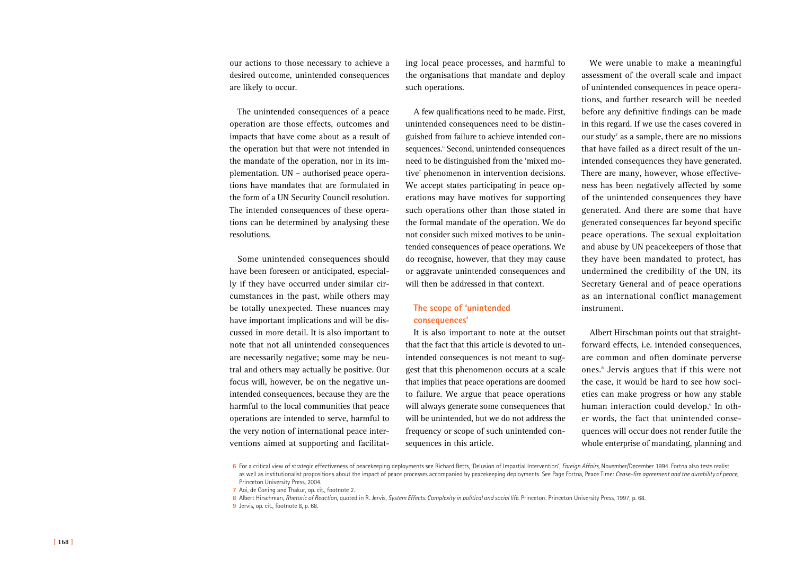our actions to those necessary to achieve a desired outcome, unintended consequences are likely to occur.

The unintended consequences of a peace operation are those effects, outcomes and impacts that have come about as a result of the operation but that were not intended in the mandate of the operation, nor in its implementation. UN – authorised peace operations have mandates that are formulated in the form of a UN Security Council resolution. The intended consequences of these operations can be determined by analysing these resolutions.

Some unintended consequences should have been foreseen or anticipated, especially if they have occurred under similar circumstances in the past, while others may be totally unexpected. These nuances may have important implications and will be discussed in more detail. It is also important to note that not all unintended consequences are necessarily negative; some may be neutral and others may actually be positive. Our focus will, however, be on the negative unintended consequences, because they are the harmful to the local communities that peace operations are intended to serve, harmful to the very notion of international peace interventions aimed at supporting and facilitat-

ing local peace processes, and harmful to the organisations that mandate and deploy such operations.

A few qualifications need to be made. First, unintended consequences need to be distinguished from failure to achieve intended consequences.6 Second, unintended consequences need to be distinguished from the 'mixed motive' phenomenon in intervention decisions. We accept states participating in peace operations may have motives for supporting such operations other than those stated in the formal mandate of the operation. We do not consider such mixed motives to be unintended consequences of peace operations. We do recognise, however, that they may cause or aggravate unintended consequences and will then be addressed in that context.

## **The scope of 'unintended consequences'**

It is also important to note at the outset that the fact that this article is devoted to unintended consequences is not meant to suggest that this phenomenon occurs at a scale that implies that peace operations are doomed to failure. We argue that peace operations will always generate some consequences that will be unintended, but we do not address the frequency or scope of such unintended consequences in this article.

We were unable to make a meaningful assessment of the overall scale and impact of unintended consequences in peace operations, and further research will be needed before any definitive findings can be made in this regard. If we use the cases covered in our study<sup>7</sup> as a sample, there are no missions that have failed as a direct result of the unintended consequences they have generated. There are many, however, whose effectiveness has been negatively affected by some of the unintended consequences they have generated. And there are some that have generated consequences far beyond specific peace operations. The sexual exploitation and abuse by UN peacekeepers of those that they have been mandated to protect, has undermined the credibility of the UN, its Secretary General and of peace operations as an international conflict management instrument.

Albert Hirschman points out that straightforward effects, i.e. intended consequences, are common and often dominate perverse ones.8 Jervis argues that if this were not the case, it would be hard to see how societies can make progress or how any stable human interaction could develop.9 In other words, the fact that unintended consequences will occur does not render futile the whole enterprise of mandating, planning and

**<sup>6</sup>** For a critical view of strategic effectiveness of peacekeeping deployments see Richard Betts, 'Delusion of Impartial Intervention', *Foreign Affairs*, November/December 1994. Fortna also tests realist as well as institutionalist propositions about the impact of peace processes accompanied by peacekeeping deployments. See Page Fortna, Peace Time: *Cease-fire agreement and the durability of peace*, Princeton University Press, 2004.

**<sup>7</sup>** Aoi, de Coning and Thakur, op. cit., footnote 2.

**<sup>8</sup>** Albert Hirschman, *Rhetoric of Reaction*, quoted in R. Jervis, *System Effects: Complexity in political and social life*. Princeton: Princeton University Press, 1997, p. 68.

**<sup>9</sup>** Jervis, op. cit., footnote 8, p. 68.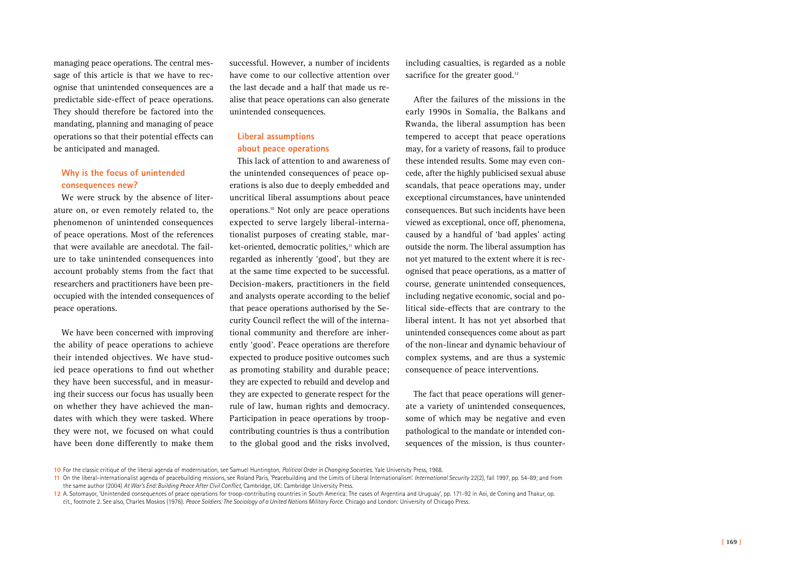managing peace operations. The central message of this article is that we have to recognise that unintended consequences are a predictable side-effect of peace operations. They should therefore be factored into the mandating, planning and managing of peace operations so that their potential effects can be anticipated and managed.

# **Why is the focus of unintended consequences new?**

We were struck by the absence of literature on, or even remotely related to, the phenomenon of unintended consequences of peace operations. Most of the references that were available are anecdotal. The failure to take unintended consequences into account probably stems from the fact that researchers and practitioners have been preoccupied with the intended consequences of peace operations.

We have been concerned with improving the ability of peace operations to achieve their intended objectives. We have studied peace operations to find out whether they have been successful, and in measuring their success our focus has usually been on whether they have achieved the mandates with which they were tasked. Where they were not, we focused on what could have been done differently to make them successful. However, a number of incidents have come to our collective attention over the last decade and a half that made us realise that peace operations can also generate unintended consequences.

# **Liberal assumptions about peace operations**

This lack of attention to and awareness of the unintended consequences of peace operations is also due to deeply embedded and uncritical liberal assumptions about peace operations.10 Not only are peace operations expected to serve largely liberal-internationalist purposes of creating stable, market-oriented, democratic polities,<sup>11</sup> which are regarded as inherently 'good', but they are at the same time expected to be successful. Decision-makers, practitioners in the field and analysts operate according to the belief that peace operations authorised by the Security Council reflect the will of the international community and therefore are inherently 'good'. Peace operations are therefore expected to produce positive outcomes such as promoting stability and durable peace; they are expected to rebuild and develop and they are expected to generate respect for the rule of law, human rights and democracy. Participation in peace operations by troopcontributing countries is thus a contribution to the global good and the risks involved, including casualties, is regarded as a noble sacrifice for the greater good. $12$ 

After the failures of the missions in the early 1990s in Somalia, the Balkans and Rwanda, the liberal assumption has been tempered to accept that peace operations may, for a variety of reasons, fail to produce these intended results. Some may even concede, after the highly publicised sexual abuse scandals, that peace operations may, under exceptional circumstances, have unintended consequences. But such incidents have been viewed as exceptional, once off, phenomena, caused by a handful of 'bad apples' acting outside the norm. The liberal assumption has not yet matured to the extent where it is recognised that peace operations, as a matter of course, generate unintended consequences, including negative economic, social and political side-effects that are contrary to the liberal intent. It has not yet absorbed that unintended consequences come about as part of the non-linear and dynamic behaviour of complex systems, and are thus a systemic consequence of peace interventions.

The fact that peace operations will generate a variety of unintended consequences, some of which may be negative and even pathological to the mandate or intended consequences of the mission, is thus counter-

**<sup>10</sup>** For the classic critique of the liberal agenda of modernisation, see Samuel Huntington, *Political Order in Changing Societies*. Yale University Press, 1968.

**<sup>11</sup>** On the liberal-internationalist agenda of peacebuilding missions, see Roland Paris, 'Peacebuilding and the Limits of Liberal Internationalism'. *International Security* 22(2), fall 1997, pp. 54-89; and from the same author (2004) *At War's End: Building Peace After Civil Conflict*, Cambridge, UK: Cambridge University Press.

<sup>12</sup> A. Sotomayor, 'Unintended consequences of peace operations for troop-contributing countries in South America: The cases of Argentina and Uruguay', pp. 171-92 in Aoi, de Coning and Thakur, op. cit., footnote 2. See also, Charles Moskos (1976). *Peace Soldiers: The Sociology of a United Nations Military Force*. Chicago and London: University of Chicago Press.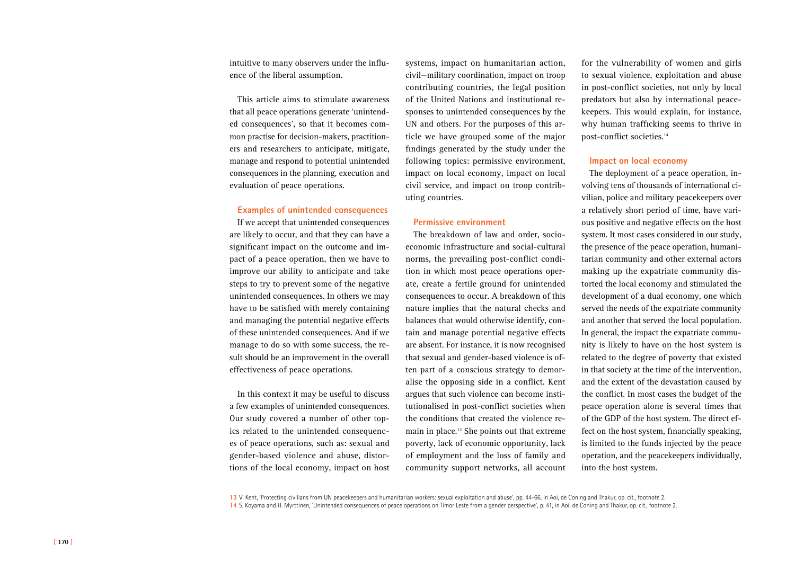intuitive to many observers under the influence of the liberal assumption.

This article aims to stimulate awareness that all peace operations generate 'unintended consequences', so that it becomes common practise for decision-makers, practitioners and researchers to anticipate, mitigate, manage and respond to potential unintended consequences in the planning, execution and evaluation of peace operations.

## **Examples of unintended consequences**

If we accept that unintended consequences are likely to occur, and that they can have a significant impact on the outcome and impact of a peace operation, then we have to improve our ability to anticipate and take steps to try to prevent some of the negative unintended consequences. In others we may have to be satisfied with merely containing and managing the potential negative effects of these unintended consequences. And if we manage to do so with some success, the result should be an improvement in the overall effectiveness of peace operations.

In this context it may be useful to discuss a few examples of unintended consequences. Our study covered a number of other topics related to the unintended consequences of peace operations, such as: sexual and gender-based violence and abuse, distortions of the local economy, impact on host

systems, impact on humanitarian action, civil—military coordination, impact on troop contributing countries, the legal position of the United Nations and institutional responses to unintended consequences by the UN and others. For the purposes of this article we have grouped some of the major findings generated by the study under the following topics: permissive environment, impact on local economy, impact on local civil service, and impact on troop contributing countries.

### **Permissive environment**

The breakdown of law and order, socioeconomic infrastructure and social-cultural norms, the prevailing post-conflict condition in which most peace operations operate, create a fertile ground for unintended consequences to occur. A breakdown of this nature implies that the natural checks and balances that would otherwise identify, contain and manage potential negative effects are absent. For instance, it is now recognised that sexual and gender-based violence is often part of a conscious strategy to demoralise the opposing side in a conflict. Kent argues that such violence can become institutionalised in post-conflict societies when the conditions that created the violence remain in place.<sup>13</sup> She points out that extreme poverty, lack of economic opportunity, lack of employment and the loss of family and community support networks, all account

for the vulnerability of women and girls to sexual violence, exploitation and abuse in post-conflict societies, not only by local predators but also by international peacekeepers. This would explain, for instance, why human trafficking seems to thrive in post-conflict societies.<sup>14</sup>

### **Impact on local economy**

The deployment of a peace operation, involving tens of thousands of international civilian, police and military peacekeepers over a relatively short period of time, have various positive and negative effects on the host system. It most cases considered in our study, the presence of the peace operation, humanitarian community and other external actors making up the expatriate community distorted the local economy and stimulated the development of a dual economy, one which served the needs of the expatriate community and another that served the local population. In general, the impact the expatriate community is likely to have on the host system is related to the degree of poverty that existed in that society at the time of the intervention, and the extent of the devastation caused by the conflict. In most cases the budget of the peace operation alone is several times that of the GDP of the host system. The direct effect on the host system, financially speaking, is limited to the funds injected by the peace operation, and the peacekeepers individually, into the host system.

**13** V. Kent, 'Protecting civilians from UN peacekeepers and humanitarian workers: sexual exploitation and abuse', pp. 44-66, in Aoi, de Coning and Thakur, op. cit., footnote 2. **14** S. Koyama and H. Myrttinen, 'Unintended consequences of peace operations on Timor Leste from a gender perspective', p. 41, in Aoi, de Coning and Thakur, op. cit., footnote 2.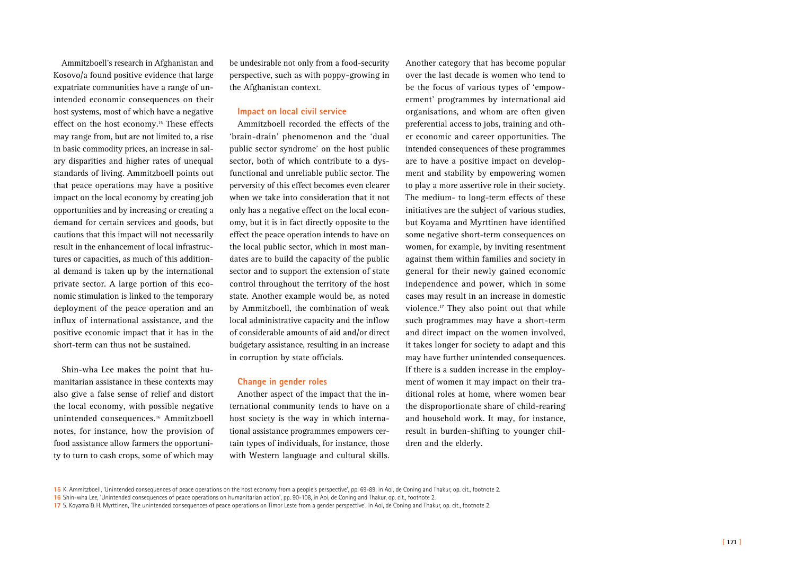Ammitzboell's research in Afghanistan and Kosovo/a found positive evidence that large expatriate communities have a range of unintended economic consequences on their host systems, most of which have a negative effect on the host economy.<sup>15</sup> These effects may range from, but are not limited to, a rise in basic commodity prices, an increase in salary disparities and higher rates of unequal standards of living. Ammitzboell points out that peace operations may have a positive impact on the local economy by creating job opportunities and by increasing or creating a demand for certain services and goods, but cautions that this impact will not necessarily result in the enhancement of local infrastructures or capacities, as much of this additional demand is taken up by the international private sector. A large portion of this economic stimulation is linked to the temporary deployment of the peace operation and an influx of international assistance, and the positive economic impact that it has in the short-term can thus not be sustained.

Shin-wha Lee makes the point that humanitarian assistance in these contexts may also give a false sense of relief and distort the local economy, with possible negative unintended consequences.16 Ammitzboell notes, for instance, how the provision of food assistance allow farmers the opportunity to turn to cash crops, some of which may

be undesirable not only from a food-security perspective, such as with poppy-growing in the Afghanistan context.

### **Impact on local civil service**

Ammitzboell recorded the effects of the 'brain-drain' phenomenon and the 'dual public sector syndrome' on the host public sector, both of which contribute to a dysfunctional and unreliable public sector. The perversity of this effect becomes even clearer when we take into consideration that it not only has a negative effect on the local economy, but it is in fact directly opposite to the effect the peace operation intends to have on the local public sector, which in most mandates are to build the capacity of the public sector and to support the extension of state control throughout the territory of the host state. Another example would be, as noted by Ammitzboell, the combination of weak local administrative capacity and the inflow of considerable amounts of aid and/or direct budgetary assistance, resulting in an increase in corruption by state officials.

## **Change in gender roles**

Another aspect of the impact that the international community tends to have on a host society is the way in which international assistance programmes empowers certain types of individuals, for instance, those with Western language and cultural skills.

Another category that has become popular over the last decade is women who tend to be the focus of various types of 'empowerment' programmes by international aid organisations, and whom are often given preferential access to jobs, training and other economic and career opportunities. The intended consequences of these programmes are to have a positive impact on development and stability by empowering women to play a more assertive role in their society. The medium- to long-term effects of these initiatives are the subject of various studies, but Koyama and Myrttinen have identified some negative short-term consequences on women, for example, by inviting resentment against them within families and society in general for their newly gained economic independence and power, which in some cases may result in an increase in domestic violence.<sup>17</sup> They also point out that while such programmes may have a short-term and direct impact on the women involved, it takes longer for society to adapt and this may have further unintended consequences. If there is a sudden increase in the employment of women it may impact on their traditional roles at home, where women bear the disproportionate share of child-rearing and household work. It may, for instance, result in burden-shifting to younger children and the elderly.

**<sup>15</sup>** K. Ammitzboell, 'Unintended consequences of peace operations on the host economy from a people's perspective', pp. 69-89, in Aoi, de Coning and Thakur, op. cit., footnote 2.

**<sup>16</sup>** Shin-wha Lee, 'Unintended consequences of peace operations on humanitarian action', pp. 90-108, in Aoi, de Coning and Thakur, op. cit., footnote 2.

**<sup>17</sup>** S. Koyama & H. Myrttinen, 'The unintended consequences of peace operations on Timor Leste from a gender perspective', in Aoi, de Coning and Thakur, op. cit., footnote 2.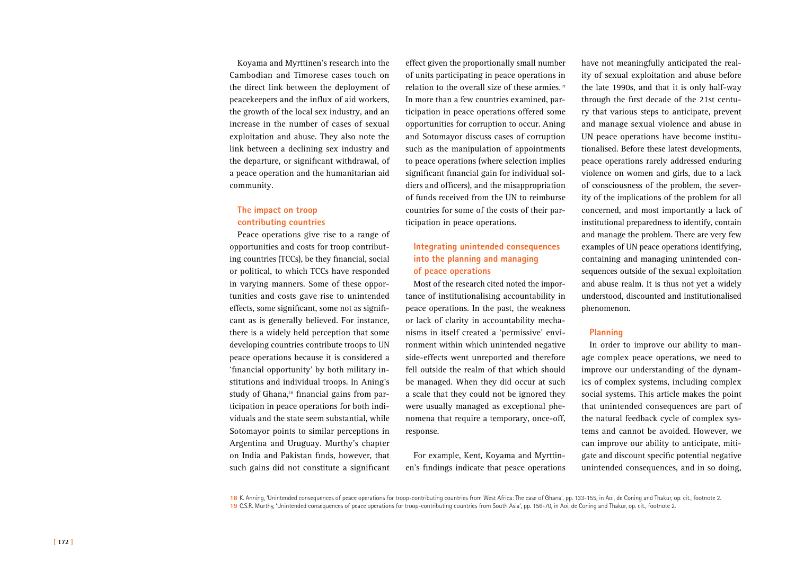Koyama and Myrttinen's research into the Cambodian and Timorese cases touch on the direct link between the deployment of peacekeepers and the influx of aid workers, the growth of the local sex industry, and an increase in the number of cases of sexual exploitation and abuse. They also note the link between a declining sex industry and the departure, or significant withdrawal, of a peace operation and the humanitarian aid community.

# **The impact on troop contributing countries**

Peace operations give rise to a range of opportunities and costs for troop contributing countries (TCCs), be they financial, social or political, to which TCCs have responded in varying manners. Some of these opportunities and costs gave rise to unintended effects, some significant, some not as significant as is generally believed. For instance, there is a widely held perception that some developing countries contribute troops to UN peace operations because it is considered a 'financial opportunity' by both military institutions and individual troops. In Aning's study of Ghana,<sup>18</sup> financial gains from participation in peace operations for both individuals and the state seem substantial, while Sotomayor points to similar perceptions in Argentina and Uruguay. Murthy's chapter on India and Pakistan finds, however, that such gains did not constitute a significant

effect given the proportionally small number of units participating in peace operations in relation to the overall size of these armies.19 In more than a few countries examined, participation in peace operations offered some opportunities for corruption to occur. Aning and Sotomayor discuss cases of corruption such as the manipulation of appointments to peace operations (where selection implies significant financial gain for individual soldiers and officers), and the misappropriation of funds received from the UN to reimburse countries for some of the costs of their participation in peace operations.

# **Integrating unintended consequences into the planning and managing of peace operations**

Most of the research cited noted the importance of institutionalising accountability in peace operations. In the past, the weakness or lack of clarity in accountability mechanisms in itself created a 'permissive' environment within which unintended negative side-effects went unreported and therefore fell outside the realm of that which should be managed. When they did occur at such a scale that they could not be ignored they were usually managed as exceptional phenomena that require a temporary, once-off, response.

For example, Kent, Koyama and Myrttinen's findings indicate that peace operations have not meaningfully anticipated the reality of sexual exploitation and abuse before the late 1990s, and that it is only half-way through the first decade of the 21st century that various steps to anticipate, prevent and manage sexual violence and abuse in UN peace operations have become institutionalised. Before these latest developments, peace operations rarely addressed enduring violence on women and girls, due to a lack of consciousness of the problem, the severity of the implications of the problem for all concerned, and most importantly a lack of institutional preparedness to identify, contain and manage the problem. There are very few examples of UN peace operations identifying, containing and managing unintended consequences outside of the sexual exploitation and abuse realm. It is thus not yet a widely understood, discounted and institutionalised phenomenon.

## **Planning**

In order to improve our ability to manage complex peace operations, we need to improve our understanding of the dynamics of complex systems, including complex social systems. This article makes the point that unintended consequences are part of the natural feedback cycle of complex systems and cannot be avoided. However, we can improve our ability to anticipate, mitigate and discount specific potential negative unintended consequences, and in so doing,

**18** K. Anning, 'Unintended consequences of peace operations for troop-contributing countries from West Africa: The case of Ghana', pp. 133-155, in Aoi, de Coning and Thakur, op. cit., footnote 2. **19** C.S.R. Murthy, 'Unintended consequences of peace operations for troop-contributing countries from South Asia', pp. 156-70, in Aoi, de Coning and Thakur, op. cit., footnote 2.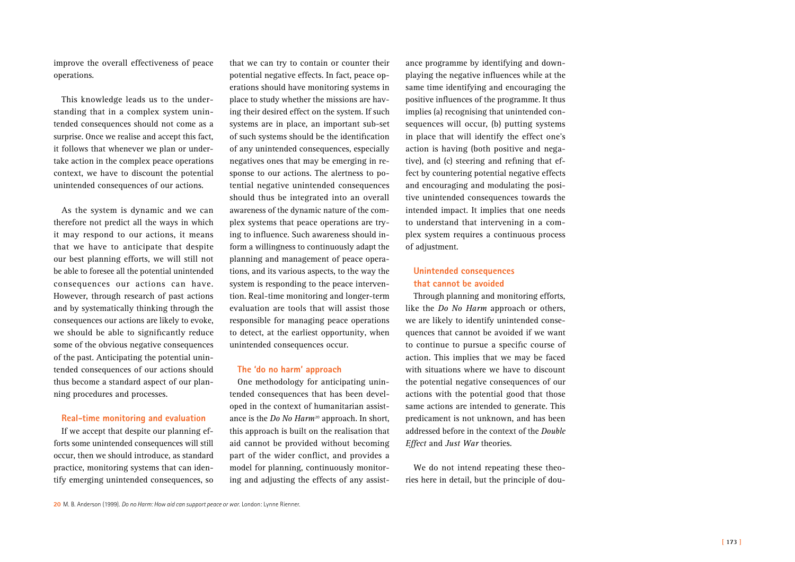improve the overall effectiveness of peace operations.

This knowledge leads us to the understanding that in a complex system unintended consequences should not come as a surprise. Once we realise and accept this fact, it follows that whenever we plan or undertake action in the complex peace operations context, we have to discount the potential unintended consequences of our actions.

As the system is dynamic and we can therefore not predict all the ways in which it may respond to our actions, it means that we have to anticipate that despite our best planning efforts, we will still not be able to foresee all the potential unintended consequences our actions can have. However, through research of past actions and by systematically thinking through the consequences our actions are likely to evoke, we should be able to significantly reduce some of the obvious negative consequences of the past. Anticipating the potential unintended consequences of our actions should thus become a standard aspect of our planning procedures and processes.

## **Real-time monitoring and evaluation**

If we accept that despite our planning efforts some unintended consequences will still occur, then we should introduce, as standard practice, monitoring systems that can identify emerging unintended consequences, so

that we can try to contain or counter their potential negative effects. In fact, peace operations should have monitoring systems in place to study whether the missions are having their desired effect on the system. If such systems are in place, an important sub-set of such systems should be the identification of any unintended consequences, especially negatives ones that may be emerging in response to our actions. The alertness to potential negative unintended consequences should thus be integrated into an overall awareness of the dynamic nature of the complex systems that peace operations are trying to influence. Such awareness should inform a willingness to continuously adapt the planning and management of peace operations, and its various aspects, to the way the system is responding to the peace intervention. Real-time monitoring and longer-term evaluation are tools that will assist those responsible for managing peace operations to detect, at the earliest opportunity, when unintended consequences occur.

# **The 'do no harm' approach**

One methodology for anticipating unintended consequences that has been developed in the context of humanitarian assistance is the *Do No Harm*<sup>20</sup> approach. In short, this approach is built on the realisation that aid cannot be provided without becoming part of the wider conflict, and provides a model for planning, continuously monitoring and adjusting the effects of any assist-

ance programme by identifying and downplaying the negative influences while at the same time identifying and encouraging the positive influences of the programme. It thus implies (a) recognising that unintended consequences will occur, (b) putting systems in place that will identify the effect one's action is having (both positive and negative), and (c) steering and refining that effect by countering potential negative effects and encouraging and modulating the positive unintended consequences towards the intended impact. It implies that one needs to understand that intervening in a complex system requires a continuous process of adjustment.

# **Unintended consequences that cannot be avoided**

Through planning and monitoring efforts, like the *Do No Harm* approach or others, we are likely to identify unintended consequences that cannot be avoided if we want to continue to pursue a specific course of action. This implies that we may be faced with situations where we have to discount the potential negative consequences of our actions with the potential good that those same actions are intended to generate. This predicament is not unknown, and has been addressed before in the context of the *Double Effect* and *Just War* theories.

We do not intend repeating these theories here in detail, but the principle of dou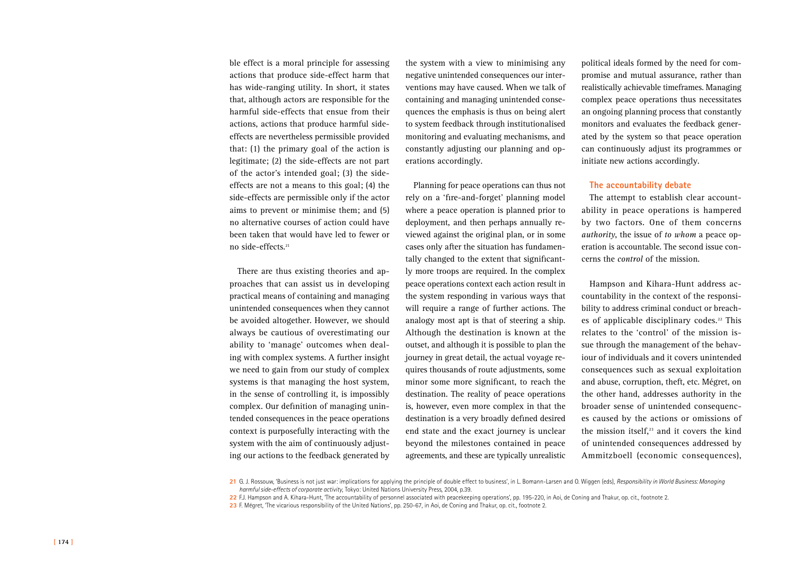ble effect is a moral principle for assessing actions that produce side-effect harm that has wide-ranging utility. In short, it states that, although actors are responsible for the harmful side-effects that ensue from their actions, actions that produce harmful sideeffects are nevertheless permissible provided that: (1) the primary goal of the action is legitimate; (2) the side-effects are not part of the actor's intended goal; (3) the sideeffects are not a means to this goal; (4) the side-effects are permissible only if the actor aims to prevent or minimise them; and (5) no alternative courses of action could have been taken that would have led to fewer or no side-effects.21

There are thus existing theories and approaches that can assist us in developing practical means of containing and managing unintended consequences when they cannot be avoided altogether. However, we should always be cautious of overestimating our ability to 'manage' outcomes when dealing with complex systems. A further insight we need to gain from our study of complex systems is that managing the host system, in the sense of controlling it, is impossibly complex. Our definition of managing unintended consequences in the peace operations context is purposefully interacting with the system with the aim of continuously adjusting our actions to the feedback generated by

the system with a view to minimising any negative unintended consequences our interventions may have caused. When we talk of containing and managing unintended consequences the emphasis is thus on being alert to system feedback through institutionalised monitoring and evaluating mechanisms, and constantly adjusting our planning and operations accordingly.

Planning for peace operations can thus not rely on a 'fire-and-forget' planning model where a peace operation is planned prior to deployment, and then perhaps annually reviewed against the original plan, or in some cases only after the situation has fundamentally changed to the extent that significantly more troops are required. In the complex peace operations context each action result in the system responding in various ways that will require a range of further actions. The analogy most apt is that of steering a ship. Although the destination is known at the outset, and although it is possible to plan the journey in great detail, the actual voyage requires thousands of route adjustments, some minor some more significant, to reach the destination. The reality of peace operations is, however, even more complex in that the destination is a very broadly defined desired end state and the exact journey is unclear beyond the milestones contained in peace agreements, and these are typically unrealistic

political ideals formed by the need for compromise and mutual assurance, rather than realistically achievable timeframes. Managing complex peace operations thus necessitates an ongoing planning process that constantly monitors and evaluates the feedback generated by the system so that peace operation can continuously adjust its programmes or initiate new actions accordingly.

### **The accountability debate**

The attempt to establish clear accountability in peace operations is hampered by two factors. One of them concerns *authority*, the issue of *to whom* a peace operation is accountable. The second issue concerns the *control* of the mission.

Hampson and Kihara-Hunt address accountability in the context of the responsibility to address criminal conduct or breaches of applicable disciplinary codes. $22$  This relates to the 'control' of the mission issue through the management of the behaviour of individuals and it covers unintended consequences such as sexual exploitation and abuse, corruption, theft, etc. Mégret, on the other hand, addresses authority in the broader sense of unintended consequences caused by the actions or omissions of the mission itself, $23$  and it covers the kind of unintended consequences addressed by Ammitzboell (economic consequences),

21 G. J. Rossouw, 'Business is not just war: implications for applying the principle of double effect to business', in L. Bomann-Larsen and O. Wiggen (eds), *Responsibility in World Business: Managing harmful side-effects of corporate activity*, Tokyo: United Nations University Press, 2004, p.39.

- **22** F.J. Hampson and A. Kihara-Hunt, 'The accountability of personnel associated with peacekeeping operations', pp. 195-220, in Aoi, de Coning and Thakur, op. cit., footnote 2.
- **23** F. Mégret, 'The vicarious responsibility of the United Nations', pp. 250-67, in Aoi, de Coning and Thakur, op. cit., footnote 2.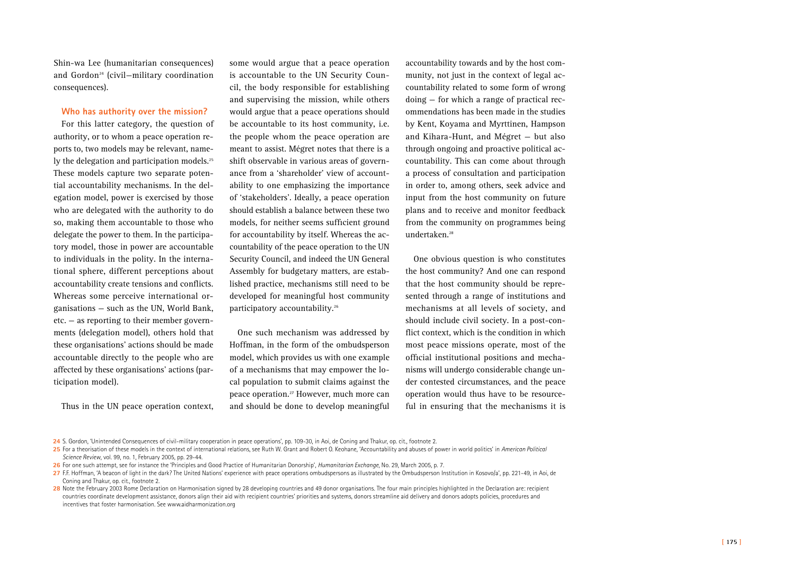Shin-wa Lee (humanitarian consequences) and Gordon<sup>24</sup> (civil—military coordination consequences).

### **Who has authority over the mission?**

For this latter category, the question of authority, or to whom a peace operation reports to, two models may be relevant, namely the delegation and participation models.<sup>25</sup> These models capture two separate potential accountability mechanisms. In the delegation model, power is exercised by those who are delegated with the authority to do so, making them accountable to those who delegate the power to them. In the participatory model, those in power are accountable to individuals in the polity. In the international sphere, different perceptions about accountability create tensions and conflicts. Whereas some perceive international organisations — such as the UN, World Bank, etc. — as reporting to their member governments (delegation model), others hold that these organisations' actions should be made accountable directly to the people who are affected by these organisations' actions (participation model).

Thus in the UN peace operation context,

some would argue that a peace operation is accountable to the UN Security Council, the body responsible for establishing and supervising the mission, while others would argue that a peace operations should be accountable to its host community, i.e. the people whom the peace operation are meant to assist. Mégret notes that there is a shift observable in various areas of governance from a 'shareholder' view of accountability to one emphasizing the importance of 'stakeholders'. Ideally, a peace operation should establish a balance between these two models, for neither seems sufficient ground for accountability by itself. Whereas the accountability of the peace operation to the UN Security Council, and indeed the UN General Assembly for budgetary matters, are established practice, mechanisms still need to be developed for meaningful host community participatory accountability.26

One such mechanism was addressed by Hoffman, in the form of the ombudsperson model, which provides us with one example of a mechanisms that may empower the local population to submit claims against the peace operation.27 However, much more can and should be done to develop meaningful

accountability towards and by the host community, not just in the context of legal accountability related to some form of wrong doing — for which a range of practical recommendations has been made in the studies by Kent, Koyama and Myrttinen, Hampson and Kihara-Hunt, and Mégret — but also through ongoing and proactive political accountability. This can come about through a process of consultation and participation in order to, among others, seek advice and input from the host community on future plans and to receive and monitor feedback from the community on programmes being undertaken.28

One obvious question is who constitutes the host community? And one can respond that the host community should be represented through a range of institutions and mechanisms at all levels of society, and should include civil society. In a post-conflict context, which is the condition in which most peace missions operate, most of the official institutional positions and mechanisms will undergo considerable change under contested circumstances, and the peace operation would thus have to be resourceful in ensuring that the mechanisms it is

**<sup>24</sup>** S. Gordon, 'Unintended Consequences of civil-military cooperation in peace operations', pp. 109-30, in Aoi, de Coning and Thakur, op. cit., footnote 2.

**<sup>25</sup>** For a theorisation of these models in the context of international relations, see Ruth W. Grant and Robert O. Keohane, 'Accountability and abuses of power in world politics' in *American Political Science Review*, vol. 99, no. 1, February 2005, pp. 29-44.

**<sup>26</sup>** For one such attempt, see for instance the 'Principles and Good Practice of Humanitarian Donorship', *Humanitarian Exchange*, No. 29, March 2005, p. 7.

<sup>27</sup> F.F. Hoffman, 'A beacon of light in the dark? The United Nations' experience with peace operations ombudspersons as illustrated by the Ombudsperson Institution in Kosovo/a', pp. 221-49, in Aoi, de Coning and Thakur, op. cit., footnote 2.

<sup>28</sup> Note the February 2003 Rome Declaration on Harmonisation signed by 28 developing countries and 49 donor organisations. The four main principles highlighted in the Declaration are: recipient countries coordinate development assistance, donors align their aid with recipient countries' priorities and systems, donors streamline aid delivery and donors adopts policies, procedures and incentives that foster harmonisation. See www.aidharmonization.org